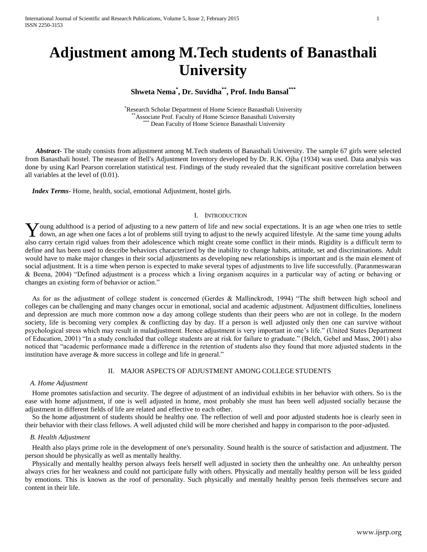# **Adjustment among M.Tech students of Banasthali University**

## **Shweta Nema\* , Dr. Suvidha\*\* , Prof. Indu Bansal\*\*\***

\*Research Scholar Department of Home Science Banasthali University Associate Prof. Faculty of Home Science Banasthali University Dean Faculty of Home Science Banasthali University

 *Abstract***-** The study consists from adjustment among M.Tech students of Banasthali University. The sample 67 girls were selected from Banasthali hostel. The measure of Bell's Adjustment Inventory developed by Dr. R.K. Ojha (1934) was used. Data analysis was done by using Karl Pearson correlation statistical test. Findings of the study revealed that the significant positive correlation between all variables at the level of (0.01).

 *Index Terms*- Home, health, social, emotional Adjustment, hostel girls.

#### I. INTRODUCTION

Young adulthood is a period of adjusting to a new pattern of life and new social expectations. It is an age when one tries to settle down, an age when one faces a lot of problems still trying to adjust to the newly acquire down, an age when one faces a lot of problems still trying to adjust to the newly acquired lifestyle. At the same time young adults also carry certain rigid values from their adolescence which might create some conflict in their minds. Rigidity is a difficult term to define and has been used to describe behaviors characterized by the inability to change habits, attitude, set and discriminations. Adult would have to make major changes in their social adjustments as developing new relationships is important and is the main element of social adjustment. It is a time when person is expected to make several types of adjustments to live life successfully. (Paranmeswaran & Beena, 2004) "Defined adjustment is a process which a living organism acquires in a particular way of acting or behaving or changes an existing form of behavior or action."

 As for as the adjustment of college student is concerned (Gerdes & Mallinckrodt, 1994) "The shift between high school and colleges can be challenging and many changes occur in emotional, social and academic adjustment. Adjustment difficulties, loneliness and depression are much more common now a day among college students than their peers who are not in college. In the modern society, life is becoming very complex & conflicting day by day. If a person is well adjusted only then one can survive without psychological stress which may result in maladjustment. Hence adjustment is very important in one's life." (United States Department of Education, 2001) "In a study concluded that college students are at risk for failure to graduate." (Belch, Gebel and Mass, 2001) also noticed that "academic performance made a difference in the retention of students also they found that more adjusted students in the institution have average & more success in college and life in general."

#### II. MAJOR ASPECTS OF ADJUSTMENT AMONG COLLEGE STUDENTS

#### *A. Home Adjustment*

 Home promotes satisfaction and security. The degree of adjustment of an individual exhibits in her behavior with others. So is the ease with home adjustment, if one is well adjusted in home, most probably she must has been well adjusted socially because the adjustment in different fields of life are related and effective to each other.

 So the home adjustment of students should be healthy one. The reflection of well and poor adjusted students hoe is clearly seen in their behavior with their class fellows. A well adjusted child will be more cherished and happy in comparison to the poor-adjusted.

#### *B. Health Adjustment*

 Health also plays prime role in the development of one's personality. Sound health is the source of satisfaction and adjustment. The person should be physically as well as mentally healthy.

 Physically and mentally healthy person always feels herself well adjusted in society then the unhealthy one. An unhealthy person always cries for her weakness and could not participate fully with others. Physically and mentally healthy person will be less guided by emotions. This is known as the roof of personality. Such physically and mentally healthy person feels themselves secure and content in their life.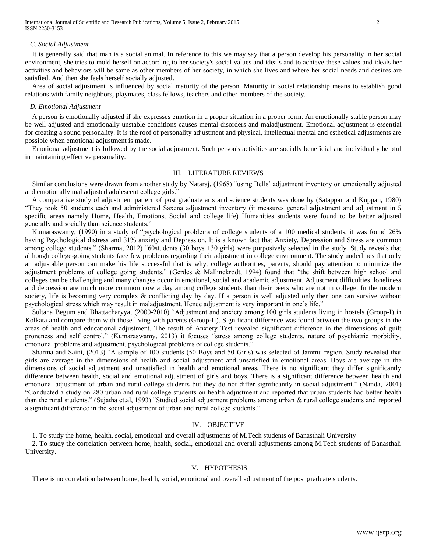International Journal of Scientific and Research Publications, Volume 5, Issue 2, February 2015 2 ISSN 2250-3153

#### *C. Social Adjustment*

 It is generally said that man is a social animal. In reference to this we may say that a person develop his personality in her social environment, she tries to mold herself on according to her society's social values and ideals and to achieve these values and ideals her activities and behaviors will be same as other members of her society, in which she lives and where her social needs and desires are satisfied. And then she feels herself socially adjusted.

 Area of social adjustment is influenced by social maturity of the person. Maturity in social relationship means to establish good relations with family neighbors, playmates, class fellows, teachers and other members of the society.

#### *D. Emotional Adjustment*

 A person is emotionally adjusted if she expresses emotion in a proper situation in a proper form. An emotionally stable person may be well adjusted and emotionally unstable conditions causes mental disorders and maladjustment. Emotional adjustment is essential for creating a sound personality. It is the roof of personality adjustment and physical, intellectual mental and esthetical adjustments are possible when emotional adjustment is made.

 Emotional adjustment is followed by the social adjustment. Such person's activities are socially beneficial and individually helpful in maintaining effective personality.

## III. LITERATURE REVIEWS

 Similar conclusions were drawn from another study by Nataraj, (1968) "using Bells' adjustment inventory on emotionally adjusted and emotionally mal adjusted adolescent college girls."

 A comparative study of adjustment pattern of post graduate arts and science students was done by (Satappan and Kuppan, 1980) "They took 50 students each and administered Saxena adjustment inventory (it measures general adjustment and adjustment in 5 specific areas namely Home, Health, Emotions, Social and college life) Humanities students were found to be better adjusted generally and socially than science students."

 Kumaraswamy, (1990) in a study of "psychological problems of college students of a 100 medical students, it was found 26% having Psychological distress and 31% anxiety and Depression. It is a known fact that Anxiety, Depression and Stress are common among college students." (Sharma, 2012) "60students (30 boys +30 girls) were purposively selected in the study. Study reveals that although college-going students face few problems regarding their adjustment in college environment. The study underlines that only an adjustable person can make his life successful that is why, college authorities, parents, should pay attention to minimize the adjustment problems of college going students." (Gerdes & Mallinckrodt, 1994) found that "the shift between high school and colleges can be challenging and many changes occur in emotional, social and academic adjustment. Adjustment difficulties, loneliness and depression are much more common now a day among college students than their peers who are not in college. In the modern society, life is becoming very complex & conflicting day by day. If a person is well adjusted only then one can survive without psychological stress which may result in maladjustment. Hence adjustment is very important in one's life."

 Sultana Begum and Bhattacharyya, (2009-2010) "Adjustment and anxiety among 100 girls students living in hostels (Group-I) in Kolkata and compare them with those living with parents (Group-II). Significant difference was found between the two groups in the areas of health and educational adjustment. The result of Anxiety Test revealed significant difference in the dimensions of guilt proneness and self control." (Kumaraswamy, 2013) it focuses "stress among college students, nature of psychiatric morbidity, emotional problems and adjustment, psychological problems of college students."

 Sharma and Saini, (2013) "A sample of 100 students (50 Boys and 50 Girls) was selected of Jammu region. Study revealed that girls are average in the dimensions of health and social adjustment and unsatisfied in emotional areas. Boys are average in the dimensions of social adjustment and unsatisfied in health and emotional areas. There is no significant they differ significantly difference between health, social and emotional adjustment of girls and boys. There is a significant difference between health and emotional adjustment of urban and rural college students but they do not differ significantly in social adjustment." (Nanda, 2001) "Conducted a study on 280 urban and rural college students on health adjustment and reported that urban students had better health than the rural students." (Sujatha et.al, 1993) "Studied social adjustment problems among urban & rural college students and reported a significant difference in the social adjustment of urban and rural college students."

## IV. OBJECTIVE

1. To study the home, health, social, emotional and overall adjustments of M.Tech students of Banasthali University

 2. To study the correlation between home, health, social, emotional and overall adjustments among M.Tech students of Banasthali University.

## V. HYPOTHESIS

There is no correlation between home, health, social, emotional and overall adjustment of the post graduate students.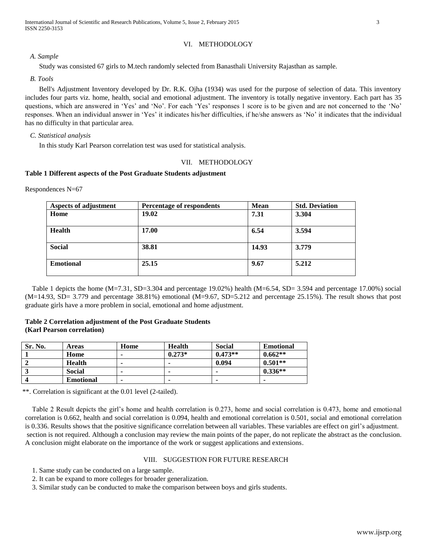## VI. METHODOLOGY

*A. Sample*

Study was consisted 67 girls to M.tech randomly selected from Banasthali University Rajasthan as sample.

*B. Tools*

 Bell's Adjustment Inventory developed by Dr. R.K. Ojha (1934) was used for the purpose of selection of data. This inventory includes four parts viz. home, health, social and emotional adjustment. The inventory is totally negative inventory. Each part has 35 questions, which are answered in 'Yes' and 'No'. For each 'Yes' responses 1 score is to be given and are not concerned to the 'No' responses. When an individual answer in 'Yes' it indicates his/her difficulties, if he/she answers as 'No' it indicates that the individual has no difficulty in that particular area.

## *C. Statistical analysis*

In this study Karl Pearson correlation test was used for statistical analysis.

## VII. METHODOLOGY

## **Table 1 Different aspects of the Post Graduate Students adjustment**

Respondences N=67

| Aspects of adjustment | Percentage of respondents | <b>Mean</b> | <b>Std. Deviation</b> |
|-----------------------|---------------------------|-------------|-----------------------|
| Home                  | 19.02                     | 7.31        | 3.304                 |
|                       |                           |             |                       |
| <b>Health</b>         | 17.00                     | 6.54        | 3.594                 |
|                       |                           |             |                       |
| <b>Social</b>         | 38.81                     | 14.93       | 3.779                 |
|                       |                           |             |                       |
| <b>Emotional</b>      | 25.15                     | 9.67        | 5.212                 |
|                       |                           |             |                       |

Table 1 depicts the home  $(M=7.31, SD=3.304$  and percentage 19.02%) health  $(M=6.54, SD=3.594$  and percentage 17.00%) social (M=14.93, SD= 3.779 and percentage 38.81%) emotional (M=9.67, SD=5.212 and percentage 25.15%). The result shows that post graduate girls have a more problem in social, emotional and home adjustment.

## **Table 2 Correlation adjustment of the Post Graduate Students (Karl Pearson correlation)**

| Sr. No. | Areas            | Home | Health   | <b>Social</b> | <b>Emotional</b> |
|---------|------------------|------|----------|---------------|------------------|
|         | Home             |      | $0.273*$ | $0.473**$     | $0.662**$        |
|         | <b>Health</b>    |      |          | 0.094         | $0.501**$        |
|         | Social           | ۰    |          |               | $0.336**$        |
|         | <b>Emotional</b> | ۰    |          |               | ۰                |

\*\*. Correlation is significant at the 0.01 level (2-tailed).

 Table 2 Result depicts the girl's home and health correlation is 0.273, home and social correlation is 0.473, home and emotional correlation is 0.662, health and social correlation is 0.094, health and emotional correlation is 0.501, social and emotional correlation is 0.336. Results shows that the positive significance correlation between all variables. These variables are effect on girl's adjustment. section is not required. Although a conclusion may review the main points of the paper, do not replicate the abstract as the conclusion. A conclusion might elaborate on the importance of the work or suggest applications and extensions.

## VIII. SUGGESTION FOR FUTURE RESEARCH

1. Same study can be conducted on a large sample.

2. It can be expand to more colleges for broader generalization.

3. Similar study can be conducted to make the comparison between boys and girls students.